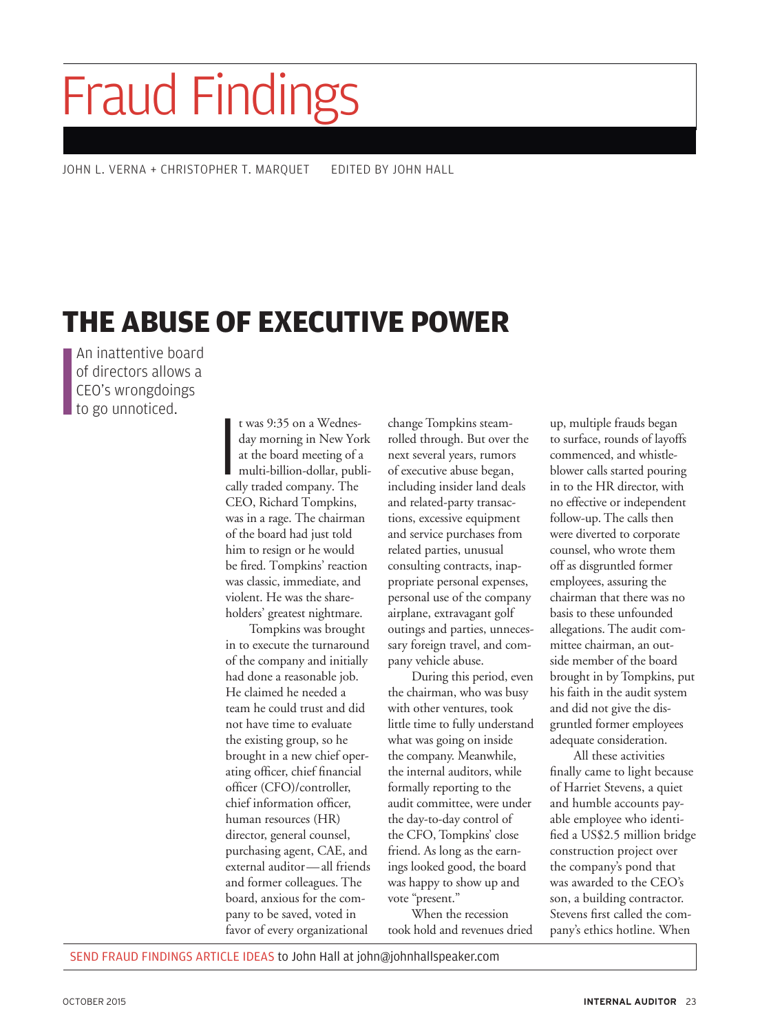## Fraud Findings

JOHN L. VERNA + CHRISTOPHER T. MARQUET EDITED BY JOHN HALL

## **THE ABUSE OF EXECUTIVE POWER**

An inattentive board of directors allows a CEO's wrongdoings to go unnoticed.

t was 9:35 on a Wednes-<br>day morning in New You<br>at the board meeting of a<br>multi-billion-dollar, pub<br>cally traded company. The t was 9:35 on a Wednesday morning in New York at the board meeting of a multi-billion-dollar, publi-CEO, Richard Tompkins, was in a rage. The chairman of the board had just told him to resign or he would be fired. Tompkins' reaction was classic, immediate, and violent. He was the shareholders' greatest nightmare.

Tompkins was brought in to execute the turnaround of the company and initially had done a reasonable job. He claimed he needed a team he could trust and did not have time to evaluate the existing group, so he brought in a new chief operating officer, chief financial officer (CFO)/controller, chief information officer, human resources (HR) director, general counsel, purchasing agent, CAE, and external auditor—all friends and former colleagues. The board, anxious for the company to be saved, voted in favor of every organizational

change Tompkins steamrolled through. But over the next several years, rumors of executive abuse began, including insider land deals and related-party transactions, excessive equipment and service purchases from related parties, unusual consulting contracts, inappropriate personal expenses, personal use of the company airplane, extravagant golf outings and parties, unnecessary foreign travel, and company vehicle abuse.

During this period, even the chairman, who was busy with other ventures, took little time to fully understand what was going on inside the company. Meanwhile, the internal auditors, while formally reporting to the audit committee, were under the day-to-day control of the CFO, Tompkins' close friend. As long as the earnings looked good, the board was happy to show up and vote "present."

When the recession took hold and revenues dried up, multiple frauds began to surface, rounds of layoffs commenced, and whistleblower calls started pouring in to the HR director, with no effective or independent follow-up. The calls then were diverted to corporate counsel, who wrote them off as disgruntled former employees, assuring the chairman that there was no basis to these unfounded allegations. The audit committee chairman, an outside member of the board brought in by Tompkins, put his faith in the audit system and did not give the disgruntled former employees adequate consideration.

All these activities finally came to light because of Harriet Stevens, a quiet and humble accounts payable employee who identified a US\$2.5 million bridge construction project over the company's pond that was awarded to the CEO's son, a building contractor. Stevens first called the company's ethics hotline. When

SEND FRAUD FINDINGS ARTICLE IDEAS to John Hall at john@johnhallspeaker.com